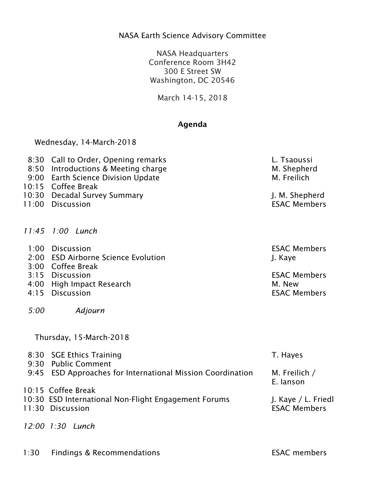## NASA Earth Science Advisory Committee

NASA Headquarters Conference Room 3H42 300 E Street SW Washington, DC 20546

March 14-15, 2018

## Agenda

Wednesday, 14-March-2018

| 8:30 Call to Order, Opening remarks | L. Tsaoussi         |
|-------------------------------------|---------------------|
| 8:50 Introductions & Meeting charge | M. Shepherd         |
| 9:00 Earth Science Division Update  | M. Freilich         |
| 10:15 Coffee Break                  |                     |
| 10:30 Decadal Survey Summary        | J. M. Shepherd      |
| 11:00 Discussion                    | <b>ESAC Members</b> |

- 
- *11:45 1:00 Lunch*
- 1:00 Discussion ESAC Members
- 2:00 ESD Airborne Science Evolution J. Kaye
- 3:00 Coffee Break
- 3:15 Discussion ESAC Members
- 4:00 High Impact Research **M. New**
- 4:15 Discussion ESAC Members
- *5:00 Adjourn*

| Thursday, 15-March-2018                                                           |                     |
|-----------------------------------------------------------------------------------|---------------------|
| 8:30 SGE Ethics Training                                                          | T. Hayes            |
| 9:30 Public Comment<br>9:45 ESD Approaches for International Mission Coordination | M. Freilich /       |
|                                                                                   | E. lanson           |
| 10:15 Coffee Break                                                                |                     |
| 10:30 ESD International Non-Flight Engagement Forums                              | J. Kaye / L. Friedl |
| 11:30 Discussion                                                                  | <b>ESAC Members</b> |
| 12:00 1:30 Lunch                                                                  |                     |

1:30 Findings & Recommendations **ESAC members** 

| <b>ESAC</b> members |  |
|---------------------|--|